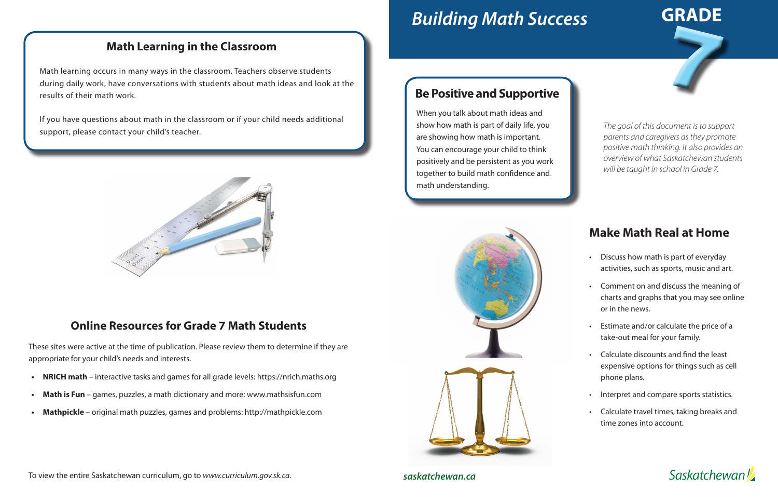# *Building Math Success*

## **Make Math Real at Home**

- Discuss how math is part of everyday activities, such as sports, music and art.
- Comment on and discuss the meaning of charts and graphs that you may see online or in the news.
- Estimate and/or calculate the price of a take-out meal for your family.
- Calculate discounts and find the least expensive options for things such as cell phone plans.
- Interpret and compare sports statistics.
- Calculate travel times, taking breaks and time zones into account.





*saskatchewan.ca*

### **Be Positive and Supportive**

When you talk about math ideas and show how math is part of daily life, you are showing how math is important. You can encourage your child to think positively and be persistent as you work together to build math confidence and math understanding.



*The goal of this document is to support parents and caregivers as they promote positive math thinking. It also provides an overview of what Saskatchewan students will be taught in school in Grade 7.*

#### **Math Learning in the Classroom**

Math learning occurs in many ways in the classroom. Teachers observe students during daily work, have conversations with students about math ideas and look at the results of their math work.

If you have questions about math in the classroom or if your child needs additional support, please contact your child's teacher.



#### **Online Resources for Grade 7 Math Students**

These sites were active at the time of publication. Please review them to determine if they are appropriate for your child's needs and interests.

- **• NRICH math**  interactive tasks and games for all grade levels: https://nrich.maths.org
- **Math is Fun** games, puzzles, a math dictionary and more: www.mathsisfun.com
- **• Mathpickle**  original math puzzles, games and problems: http://mathpickle.com

To view the entire Saskatchewan curriculum, go to *www.curriculum.gov.sk.ca*.